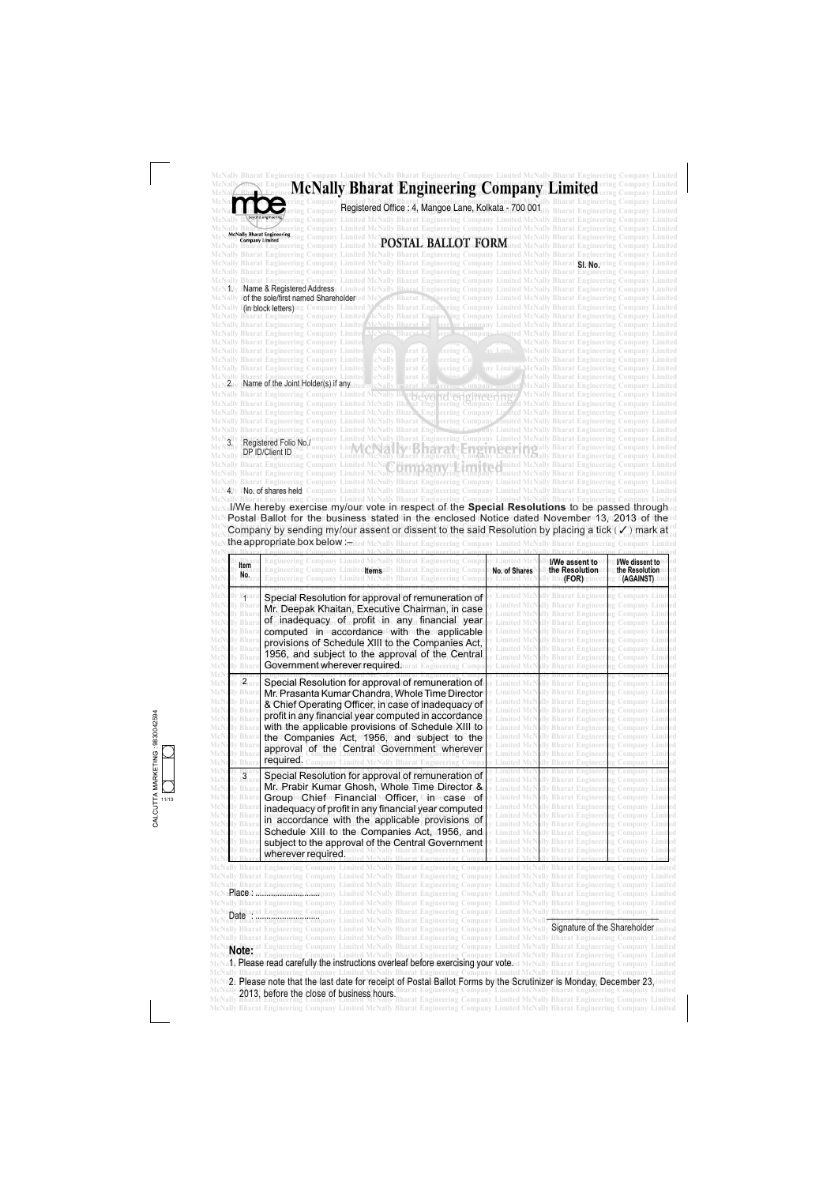11/13 9830042594

> McNally Bharat Engineering Company Limited McNally Bharat Engineering Company Limited McNally Bharat Engineering Company Limited McNally Rharat Engineering Company Limited McNally Bharat Engineering Company Limited McNally Bharat Engineering Company Limited McNahy Bharat Engmeering Company Limited McNally Bharat Engineering Company Limited McNally Bharat Engineering Company Limited McNally Bharat Engineering Company Limited McNally Bharat Engineering Company Limited McNally **Signature of the Shareholder** imited McNally Bharat Engineering Company Limited McNally Bharat Engineering Company Limited McNally Bharat Engineering Company Limited McNally Rharat Engineering Company Limited McNally Bharat Engineering Company Limited McNally Bharat Engineering Company Limited McNally bharat Engineering Company Limited McNally Bharat Engineering Company Limited McNally Bharat Engineering Company Limited McNally **Elease read carefully the Instructions overleaf before exercising your vote**ed McNally Bharat Engineering Company Limited McNally Bharat Engineering Company Limited McNally Bharat Engineering Company Limited McNally Bharat Engineering Company Limited McN∍2, Please note that the last date for receipt of Postal Ballot Forms by the Scrutinizer is Monday, December 23,imited McNally **2013: hators the close of husiness hours** Bharat Engineering Company Limited McNally Bharat Engineering Company Limited McNany 2013, before the close of business hours. Busine Engineering Company Emilied McNany Buarat Engineering Company Emilied<br>McNally Bharat Engineering Company Limited McNally Bharat Engineering Company Limited McNally Bh McNally Bharat Engineering Company Limited McNally Bharat Engineering Company Limited McNally Bharat Engineering Company Limited Date : ............................. **Note:** 1. Please read carefully the instructions overleaf before exercising your vote.

|                                                                                      | Registered Office: 4, Mangoe Lane, Kolkata - 700 001<br>eering Company Limited McNally Bharat Engineering Company Limited McNally Bharat Engineering Company Limited                                                                                                                                                                                                                                                                                                                                                                                                                                                 |                                          |                                                                                                                                                                                                                                                                                                                                          | <b>Engineering Company Limited</b>                                              |
|--------------------------------------------------------------------------------------|----------------------------------------------------------------------------------------------------------------------------------------------------------------------------------------------------------------------------------------------------------------------------------------------------------------------------------------------------------------------------------------------------------------------------------------------------------------------------------------------------------------------------------------------------------------------------------------------------------------------|------------------------------------------|------------------------------------------------------------------------------------------------------------------------------------------------------------------------------------------------------------------------------------------------------------------------------------------------------------------------------------------|---------------------------------------------------------------------------------|
|                                                                                      | ieering Company Limited McNally Bharat Engineering Company Limited McNally Bharat Engineering Company Limited<br><b>McNally Bharat Engineering</b>                                                                                                                                                                                                                                                                                                                                                                                                                                                                   |                                          |                                                                                                                                                                                                                                                                                                                                          |                                                                                 |
|                                                                                      | N McGauy pharat the meeting ring Company Limited McNaN <mark>OSTAL BALLOT FORM</mark> ited McNaIly Bharat Engineering Company Limited<br>NaIly Bharat Engineering Company Limited McNaNOSTAL BALLOT FORM ited McNaIly Bharat Engineering Com                                                                                                                                                                                                                                                                                                                                                                         |                                          |                                                                                                                                                                                                                                                                                                                                          |                                                                                 |
|                                                                                      | McNally Bharat Engineering Company Limited McNally Bharat Engineering Company Limited McNally Bharat Engineering Company Limited                                                                                                                                                                                                                                                                                                                                                                                                                                                                                     |                                          |                                                                                                                                                                                                                                                                                                                                          |                                                                                 |
|                                                                                      | McNally Bharat Engineering Company Limited McNally Bharat Engineering Company Limited McNally Bharat <b>Shayo</b> ering Company Limited<br>McNally Bharat Engineering Company Limited McNally Bharat Engineering Company Limited McNally Bharat Engineering Company Limited                                                                                                                                                                                                                                                                                                                                          |                                          |                                                                                                                                                                                                                                                                                                                                          |                                                                                 |
|                                                                                      | McNally Bharat Engineering Company Limited McNally Bharat Engineering Company Limited McNally Bharat Engineering Company Limited                                                                                                                                                                                                                                                                                                                                                                                                                                                                                     |                                          |                                                                                                                                                                                                                                                                                                                                          |                                                                                 |
|                                                                                      | N1Uy I <b>Name &amp; Registered Address</b> y Limited McNally Bharat Engineering Company Limited McNally Bharat Engineering Company Limited<br>McNally F <b>of the sole/first named Shareholder</b> ted McN ay Bharat Envineering Company Limited McNally Bharat Engineering Company Limited                                                                                                                                                                                                                                                                                                                         |                                          |                                                                                                                                                                                                                                                                                                                                          |                                                                                 |
|                                                                                      | McNally I <mark>(in block letters)</mark> ing Company Limited McNally Bharat Enginering Company Limited McNally Bharat Engineering Company Limited<br>McNally Bharat Engineering Company Limited AcNally Bharat Engineering Company Limited McNally Bharat Engineering Company Limited                                                                                                                                                                                                                                                                                                                               |                                          |                                                                                                                                                                                                                                                                                                                                          |                                                                                 |
|                                                                                      | McNally Bharat Engineering Company Limited McNally Bharat Er                                                                                                                                                                                                                                                                                                                                                                                                                                                                                                                                                         |                                          | leer hg Company Limited McNally Bharat Engineering Company Limited                                                                                                                                                                                                                                                                       |                                                                                 |
|                                                                                      | <b>McNally Bharat Engineering Company Limited</b><br>McNolly Bharat=tr<br>McNally Bharat Engineering Company Limited                                                                                                                                                                                                                                                                                                                                                                                                                                                                                                 |                                          | ompany Limited McNally Bharat Engineering Company Limited<br><b>McNally Bharat Engineering Company Limited</b>                                                                                                                                                                                                                           |                                                                                 |
|                                                                                      | McNally Bharat Engineering Company Limited<br>cNally<br>eering Co<br>arat E                                                                                                                                                                                                                                                                                                                                                                                                                                                                                                                                          | my Limit                                 | <b>McNally Bharat Engineering Company Limited</b>                                                                                                                                                                                                                                                                                        |                                                                                 |
|                                                                                      | <b>McNally Bharat Engineering Company Limited</b><br>cNally<br>arat Ei<br>ieering Co<br>McNally Bharat Engineering Company Limited<br>cNally<br>eering Co                                                                                                                                                                                                                                                                                                                                                                                                                                                            |                                          | <b>IcNally Bharat Engineering Company Limited</b><br>ny Limit <sup>*1</sup> McNally Bharat Engineering Company Limited                                                                                                                                                                                                                   |                                                                                 |
|                                                                                      | cNally<br><b>Bharat Engineering</b><br>2. Name of the Joint Holder(s) if any                                                                                                                                                                                                                                                                                                                                                                                                                                                                                                                                         |                                          | <b>McNally Bharat Engineering Company Limited</b>                                                                                                                                                                                                                                                                                        |                                                                                 |
|                                                                                      | McNally Bharat Engineering Company Limited McNally Bharat Ruging                                                                                                                                                                                                                                                                                                                                                                                                                                                                                                                                                     |                                          | <b><i><u>Internal McNally Bharat Engineering Company Limited</u></i></b><br><b>Linuite</b> McNally Bharat Engineering Company Limited                                                                                                                                                                                                    |                                                                                 |
|                                                                                      | McNally Bharat Engineering Company Limited McNally Bhaxat Engi leering Company Linn Ed McNally Bharat Engineering Company Limited<br>McNally Bharat Engineering Company Limited McNally Bhara', Engi leering Company Lip Ited McNally Bharat Engineering Company Limited                                                                                                                                                                                                                                                                                                                                             |                                          |                                                                                                                                                                                                                                                                                                                                          |                                                                                 |
|                                                                                      | McNally Bharat Engineering Company Limited McNally Bharat Lygi leering Company Zimited McNally Bharat Engineering Company Limited                                                                                                                                                                                                                                                                                                                                                                                                                                                                                    |                                          |                                                                                                                                                                                                                                                                                                                                          |                                                                                 |
|                                                                                      | McNally Bharat Engineering Company Limited McNally Bharat Engineering Company Limited McNally Bharat Engineering Company Limited<br>Limited McNally Bharat Engineering Company Limited McNally Bharat Engineering Company Limited                                                                                                                                                                                                                                                                                                                                                                                    |                                          |                                                                                                                                                                                                                                                                                                                                          |                                                                                 |
|                                                                                      | Registered Folio No./<br>DP ID/Client ID                                                                                                                                                                                                                                                                                                                                                                                                                                                                                                                                                                             |                                          | <b>Laighted Medially Bharat Engineering Company Limited</b>                                                                                                                                                                                                                                                                              |                                                                                 |
|                                                                                      | IcNally Bharat Engineering Company Limited McAally Bharat Engineering Company Limited<br>ng Company Limited<br>Vally Bharat Engineering Company Limited McNa IV Bharat Engineering I                                                                                                                                                                                                                                                                                                                                                                                                                                 |                                          | <b>Company Limited McNally Bharat Engineering Company Limited</b>                                                                                                                                                                                                                                                                        |                                                                                 |
|                                                                                      | Vally Bharat Engineering Company Limited McNally<br><b>Bharat Engineering</b><br>McNally Bharat Engineering Company Limited McNally Bharat Engineering Company Limited McNally Bharat Engineering Company Limited                                                                                                                                                                                                                                                                                                                                                                                                    |                                          | <b>Eimited McNally Bharat Engineering Company Limited</b>                                                                                                                                                                                                                                                                                |                                                                                 |
|                                                                                      | 4Ty ENorof shares held: Company Limited McNally Bharat Engineering Company Limited McNally Bharat Engineering Company Limited<br>McNally Bharat Engineering Company Limited McNally Bharat Engineering Company Limited McNally Bharat Engineering Company Limited<br>I/We hereby exercise my/our vote in respect of the Special Resolutions to be passed through a<br>Postal Ballot for the business stated in the enclosed Notice dated November 13, 2013 of the d<br>Company by sending my/our assent or dissent to the said Resolution by placing a tick ( $\checkmark$ ) mark at<br>the appropriate box below :- |                                          | <b>Engineering Company Limited McNally Bharat Engineering Company Limited</b>                                                                                                                                                                                                                                                            |                                                                                 |
| ltem<br>No.                                                                          | Engineering Company Limited McNally Bharat Engineering Compa<br>Engineering Company Limited temsally Bharat Engineering Compa<br>Engineering Company Limited McNally Bharat Engineering Compa                                                                                                                                                                                                                                                                                                                                                                                                                        | y Limited McF<br>No. of Shares           | <b>I/We assent to a</b><br>the Resolutioner<br>lly Bha <b>(FOR)</b> 1gineer                                                                                                                                                                                                                                                              |                                                                                 |
| ьpar:<br>McNally Bhara<br><b>McNally Bhara</b><br>ally Bhara<br><b>McNally Bhara</b> | Special Resolution for approval of remuneration of<br>Mr. Deepak Khaitan, Executive Chairman, in case<br>of inadequacy of profit in any financial year<br>computed in a accordance li with a the applicable<br>provisions of Schedule XIII to the Companies Act,                                                                                                                                                                                                                                                                                                                                                     |                                          | lly Bharat Engineeri<br>lly Bharat Engineering Company Limited<br><b>Bharat Engineering Company Limited</b><br><b>Limited McNally Bharat Engineering Company Limited</b><br><b>McNally Bharat Engineering Company Limited</b><br><b>McNally Bharat Engineering Company Limited</b><br>Limited McNally Bharat Engineering Company Limited | I/We dissent to<br>the Resolution<br><b>GAGAINST)</b> .im<br>ig Company Limited |
| <b>McNally Bhara</b>                                                                 | 1956, and subject to the approval of the Central                                                                                                                                                                                                                                                                                                                                                                                                                                                                                                                                                                     | <b>Limited McN</b><br>v Limited McN      | ally Bharat Engineering Company Limited<br>ally Bharat Engineeri                                                                                                                                                                                                                                                                         |                                                                                 |
| <b>McNally Bhara</b>                                                                 | Government wherever required harat Engineering Compa                                                                                                                                                                                                                                                                                                                                                                                                                                                                                                                                                                 |                                          |                                                                                                                                                                                                                                                                                                                                          | ng Company Limited<br>ig Company                                                |
| McNally Bhara<br><b>McNally Bhara</b>                                                | Special Resolution for approval of remuneration of<br>Mr. Prasanta Kumar Chandra, Whole Time Director                                                                                                                                                                                                                                                                                                                                                                                                                                                                                                                |                                          | <b>Limited McNally Bharat Engineering Company Limited</b><br>ally Bharat Engineering Company Limited                                                                                                                                                                                                                                     |                                                                                 |
| <b>McNally Bhara</b>                                                                 | & Chief Operating Officer, in case of inadequacy of                                                                                                                                                                                                                                                                                                                                                                                                                                                                                                                                                                  |                                          | d McNally Bharat Engineering Company Limited                                                                                                                                                                                                                                                                                             |                                                                                 |
| <b>McNally Bhara</b><br><b>McNally Bhara</b>                                         | profit in any financial year computed in accordance                                                                                                                                                                                                                                                                                                                                                                                                                                                                                                                                                                  |                                          | ally Bharat Engineering Company Limited<br><b>Limited McNally Bharat Engineering Company Limited</b>                                                                                                                                                                                                                                     |                                                                                 |
| <b>McNally Bhara</b>                                                                 | with the applicable provisions of Schedule XIII to                                                                                                                                                                                                                                                                                                                                                                                                                                                                                                                                                                   | imited McN                               | mited McNally Bharat Engineering Company Limited                                                                                                                                                                                                                                                                                         |                                                                                 |
| McNally Bhara<br>McNally Bhara                                                       | the Companies Act, 1956, and subject to the                                                                                                                                                                                                                                                                                                                                                                                                                                                                                                                                                                          |                                          | ally Bharat Engineering Company Limited<br>ed McNally Bharat Engineering Company Limited                                                                                                                                                                                                                                                 |                                                                                 |
| McNal<br>ly Bhara<br><b>McNally Bhara</b>                                            | approval of the Central Government wherever<br>required.<br>ompany Limited McNally Bharat Engineering Compa                                                                                                                                                                                                                                                                                                                                                                                                                                                                                                          | <b>Limited McN</b><br><b>Limited McN</b> | illy Bharat Engineering Company Limited<br><b>Ilv Bharat Engineeri</b>                                                                                                                                                                                                                                                                   | ig Company Limited                                                              |
|                                                                                      | Special Resolution for approval of remuneration of                                                                                                                                                                                                                                                                                                                                                                                                                                                                                                                                                                   |                                          | illy Bharat Engineering Company Limited                                                                                                                                                                                                                                                                                                  |                                                                                 |
| $\frac{B}{B}$ ara<br>McNal<br>ly Bhara<br>McNa.                                      | Mr. Prabir Kumar Ghosh, Whole Time Director &                                                                                                                                                                                                                                                                                                                                                                                                                                                                                                                                                                        | <b>Limited McN</b>                       | <b>Limited McNally Bharat Engineering Company Limited</b><br>ally Bharat Engineering Company Limited                                                                                                                                                                                                                                     |                                                                                 |
| Bhara<br>McNally                                                                     | GroupingChiefan,FinancialNaOfficer, Erinnecaseorof                                                                                                                                                                                                                                                                                                                                                                                                                                                                                                                                                                   |                                          | <b>Limited McNally Bharat Engineering Company Limited</b>                                                                                                                                                                                                                                                                                |                                                                                 |
| <b>McNally Bhara</b><br>McNally Bhara                                                | inadequacy of profit in any financial year computed                                                                                                                                                                                                                                                                                                                                                                                                                                                                                                                                                                  |                                          | mited McNally Bharat Engineering Company Limited<br>imited McNally Bharat Engineering Company Limited                                                                                                                                                                                                                                    |                                                                                 |
| <b>McNally Bhara</b>                                                                 | in accordance with the applicable provisions of                                                                                                                                                                                                                                                                                                                                                                                                                                                                                                                                                                      | <b>Limited McN</b>                       | ally Bharat Engineering Company Limited                                                                                                                                                                                                                                                                                                  |                                                                                 |
| <b>McNally Bhara</b><br>ally Bhara<br>McNally Bhara                                  | Schedule XIII to the Companies Act, 1956, and<br>subject to the approval of the Central Government<br>lly Bharat Engineering Compai<br>wherever required.                                                                                                                                                                                                                                                                                                                                                                                                                                                            | Limited McN<br>y Limited McN             | <b>Limited McNally Bharat Engineering Company Limited</b><br>ally Bharat Engineering Company Limited<br>ally Bharat Engineering Company Limited                                                                                                                                                                                          |                                                                                 |